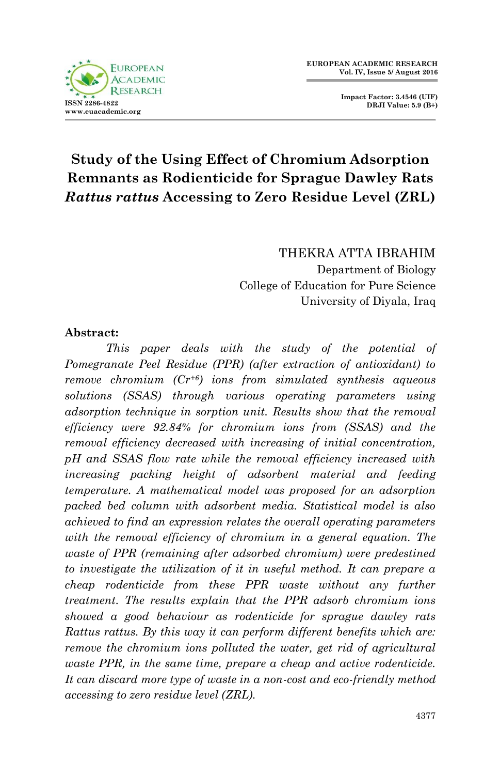

**Impact Factor: 3.4546 (UIF) DRJI Value: 5.9 (B+)**

# **Study of the Using Effect of Chromium Adsorption Remnants as Rodienticide for Sprague Dawley Rats**  *Rattus rattus* **Accessing to Zero Residue Level (ZRL)**

THEKRA ATTA IBRAHIM Department of Biology College of Education for Pure Science University of Diyala, Iraq

#### **Abstract:**

*This paper deals with the study of the potential of Pomegranate Peel Residue (PPR) (after extraction of antioxidant) to remove chromium (Cr+6) ions from simulated synthesis aqueous solutions (SSAS) through various operating parameters using adsorption technique in sorption unit. Results show that the removal efficiency were 92.84% for chromium ions from (SSAS) and the removal efficiency decreased with increasing of initial concentration, pH and SSAS flow rate while the removal efficiency increased with increasing packing height of adsorbent material and feeding temperature. A mathematical model was proposed for an adsorption packed bed column with adsorbent media. Statistical model is also achieved to find an expression relates the overall operating parameters*  with the removal efficiency of chromium in a general equation. The *waste of PPR (remaining after adsorbed chromium) were predestined to investigate the utilization of it in useful method. It can prepare a cheap rodenticide from these PPR waste without any further treatment. The results explain that the PPR adsorb chromium ions showed a good behaviour as rodenticide for sprague dawley rats Rattus rattus. By this way it can perform different benefits which are: remove the chromium ions polluted the water, get rid of agricultural waste PPR, in the same time, prepare a cheap and active rodenticide. It can discard more type of waste in a non-cost and eco-friendly method accessing to zero residue level (ZRL).*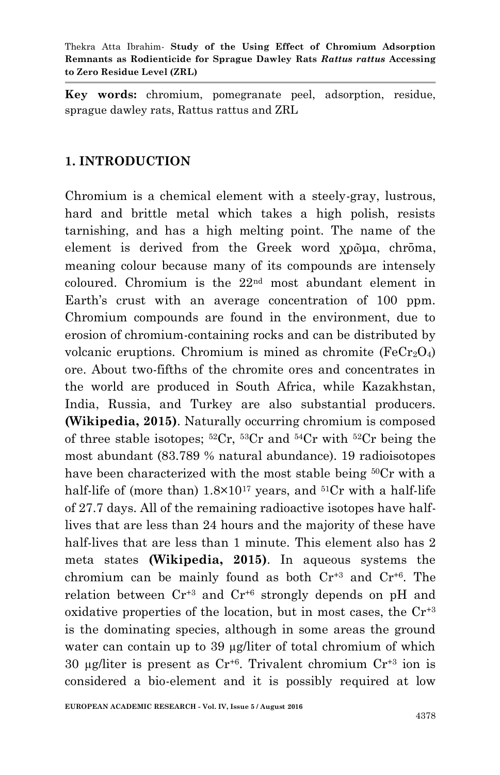**Key words:** chromium, pomegranate peel, adsorption, residue, sprague dawley rats, Rattus rattus and ZRL

#### **1. INTRODUCTION**

Chromium is a chemical element with a steely-gray, lustrous, hard and brittle metal which takes a high polish, resists tarnishing, and has a high melting point. The name of the element is derived from the Greek word χρῶμα, chrōma, meaning colour because many of its compounds are intensely coloured. Chromium is the 22nd most abundant element in Earth's crust with an average concentration of 100 ppm. Chromium compounds are found in the environment, due to erosion of chromium-containing rocks and can be distributed by volcanic eruptions. Chromium is mined as chromite  $(FeCr<sub>2</sub>O<sub>4</sub>)$ ore. About two-fifths of the chromite ores and concentrates in the world are produced in South Africa, while Kazakhstan, India, Russia, and Turkey are also substantial producers. **(Wikipedia, 2015)**. Naturally occurring chromium is composed of three stable isotopes;  ${}^{52}Cr$ ,  ${}^{53}Cr$  and  ${}^{54}Cr$  with  ${}^{52}Cr$  being the most abundant (83.789 % natural abundance). 19 radioisotopes have been characterized with the most stable being <sup>50</sup>Cr with a half-life of (more than)  $1.8 \times 10^{17}$  years, and  $51Cr$  with a half-life of 27.7 days. All of the remaining radioactive isotopes have halflives that are less than 24 hours and the majority of these have half-lives that are less than 1 minute. This element also has 2 meta states **(Wikipedia, 2015)**. In aqueous systems the chromium can be mainly found as both  $Cr^{+3}$  and  $Cr^{+6}$ . The relation between  $Cr^{+3}$  and  $Cr^{+6}$  strongly depends on pH and oxidative properties of the location, but in most cases, the  $Cr^{3}$ is the dominating species, although in some areas the ground water can contain up to 39 µg/liter of total chromium of which 30 µg/liter is present as  $Cr^{+6}$ . Trivalent chromium  $Cr^{+3}$  ion is considered a bio-element and it is possibly required at low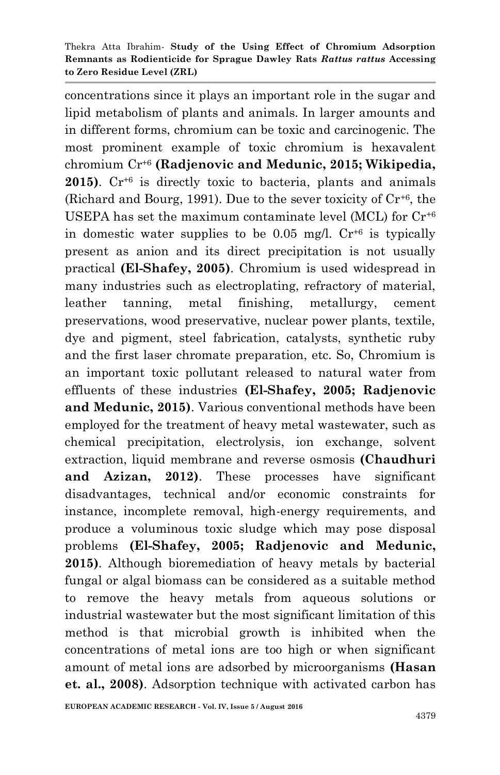concentrations since it plays an important role in the sugar and lipid metabolism of plants and animals. In larger amounts and in different forms, chromium can be toxic and carcinogenic. The most prominent example of toxic chromium is hexavalent chromium Cr+6 **(Radjenovic and Medunic, 2015; Wikipedia,**  2015). Cr<sup>+6</sup> is directly toxic to bacteria, plants and animals (Richard and Bourg, 1991). Due to the sever toxicity of  $Cr^{+6}$ , the USEPA has set the maximum contaminate level (MCL) for  $Cr^{46}$ in domestic water supplies to be 0.05 mg/l.  $Cr^{+6}$  is typically present as anion and its direct precipitation is not usually practical **(El-Shafey, 2005)**. Chromium is used widespread in many industries such as electroplating, refractory of material, leather tanning, metal finishing, metallurgy, cement preservations, wood preservative, nuclear power plants, textile, dye and pigment, steel fabrication, catalysts, synthetic ruby and the first laser chromate preparation, etc. So, Chromium is an important toxic pollutant released to natural water from effluents of these industries **(El-Shafey, 2005; Radjenovic and Medunic, 2015)**. Various conventional methods have been employed for the treatment of heavy metal wastewater, such as chemical precipitation, electrolysis, ion exchange, solvent extraction, liquid membrane and reverse osmosis **(Chaudhuri and Azizan, 2012)**. These processes have significant disadvantages, technical and/or economic constraints for instance, incomplete removal, high-energy requirements, and produce a voluminous toxic sludge which may pose disposal problems **(El-Shafey, 2005; Radjenovic and Medunic, 2015)**. Although bioremediation of heavy metals by bacterial fungal or algal biomass can be considered as a suitable method to remove the heavy metals from aqueous solutions or industrial wastewater but the most significant limitation of this method is that microbial growth is inhibited when the concentrations of metal ions are too high or when significant amount of metal ions are adsorbed by microorganisms **(Hasan et. al., 2008)**. Adsorption technique with activated carbon has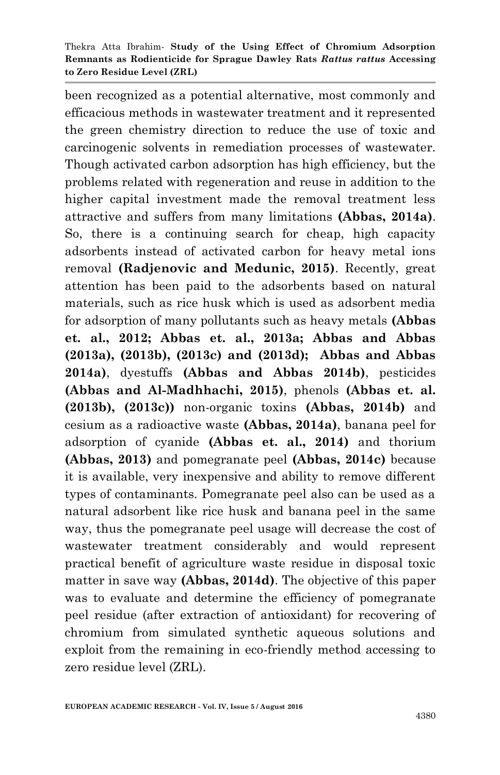been recognized as a potential alternative, most commonly and efficacious methods in wastewater treatment and it represented the green chemistry direction to reduce the use of toxic and carcinogenic solvents in remediation processes of wastewater. Though activated carbon adsorption has high efficiency, but the problems related with regeneration and reuse in addition to the higher capital investment made the removal treatment less attractive and suffers from many limitations **(Abbas, 2014a)**. So, there is a continuing search for cheap, high capacity adsorbents instead of activated carbon for heavy metal ions removal **(Radjenovic and Medunic, 2015)**. Recently, great attention has been paid to the adsorbents based on natural materials, such as rice husk which is used as adsorbent media for adsorption of many pollutants such as heavy metals **(Abbas et. al., 2012; Abbas et. al., 2013a; Abbas and Abbas (2013a), (2013b), (2013c) and (2013d); Abbas and Abbas 2014a)**, dyestuffs **(Abbas and Abbas 2014b)**, pesticides **(Abbas and Al-Madhhachi, 2015)**, phenols **(Abbas et. al. (2013b), (2013c))** non-organic toxins **(Abbas, 2014b)** and cesium as a radioactive waste **(Abbas, 2014a)**, banana peel for adsorption of cyanide **(Abbas et. al., 2014)** and thorium **(Abbas, 2013)** and pomegranate peel **(Abbas, 2014c)** because it is available, very inexpensive and ability to remove different types of contaminants. Pomegranate peel also can be used as a natural adsorbent like rice husk and banana peel in the same way, thus the pomegranate peel usage will decrease the cost of wastewater treatment considerably and would represent practical benefit of agriculture waste residue in disposal toxic matter in save way **(Abbas, 2014d)**. The objective of this paper was to evaluate and determine the efficiency of pomegranate peel residue (after extraction of antioxidant) for recovering of chromium from simulated synthetic aqueous solutions and exploit from the remaining in eco-friendly method accessing to zero residue level (ZRL).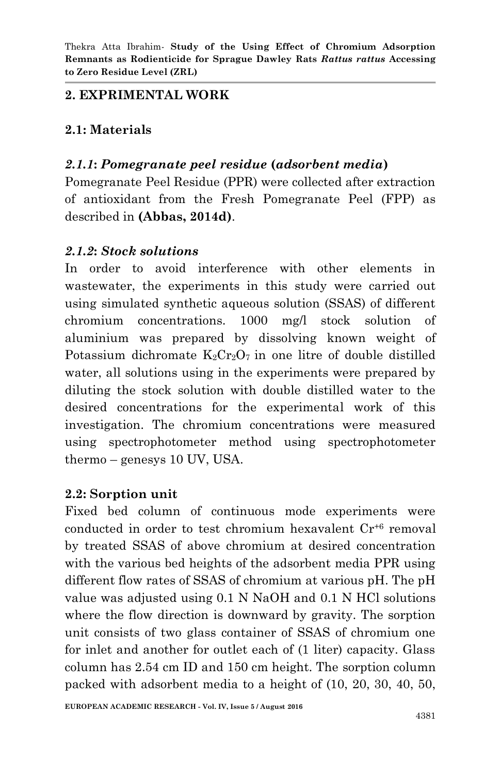#### **2. EXPRIMENTAL WORK**

## **2.1: Materials**

# *2.1.1***:** *Pomegranate peel residue* **(***adsorbent media***)**

Pomegranate Peel Residue (PPR) were collected after extraction of antioxidant from the Fresh Pomegranate Peel (FPP) as described in **(Abbas, 2014d)**.

#### *2.1.2***:** *Stock solutions*

In order to avoid interference with other elements in wastewater, the experiments in this study were carried out using simulated synthetic aqueous solution (SSAS) of different chromium concentrations. 1000 mg/l stock solution of aluminium was prepared by dissolving known weight of Potassium dichromate  $K_2Cr_2O_7$  in one litre of double distilled water, all solutions using in the experiments were prepared by diluting the stock solution with double distilled water to the desired concentrations for the experimental work of this investigation. The chromium concentrations were measured using spectrophotometer method using spectrophotometer thermo – genesys 10 UV, USA.

#### **2.2: Sorption unit**

Fixed bed column of continuous mode experiments were conducted in order to test chromium hexavalent Cr+6 removal by treated SSAS of above chromium at desired concentration with the various bed heights of the adsorbent media PPR using different flow rates of SSAS of chromium at various pH. The pH value was adjusted using 0.1 N NaOH and 0.1 N HCl solutions where the flow direction is downward by gravity. The sorption unit consists of two glass container of SSAS of chromium one for inlet and another for outlet each of (1 liter) capacity. Glass column has 2.54 cm ID and 150 cm height. The sorption column packed with adsorbent media to a height of (10, 20, 30, 40, 50,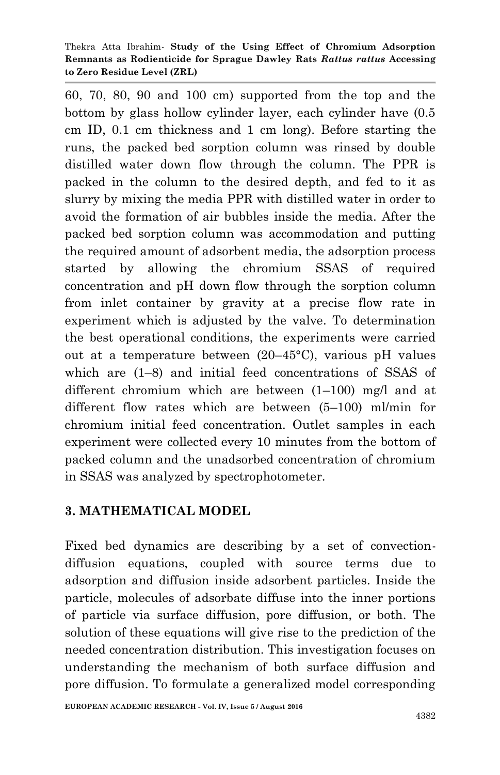60, 70, 80, 90 and 100 cm) supported from the top and the bottom by glass hollow cylinder layer, each cylinder have (0.5 cm ID, 0.1 cm thickness and 1 cm long). Before starting the runs, the packed bed sorption column was rinsed by double distilled water down flow through the column. The PPR is packed in the column to the desired depth, and fed to it as slurry by mixing the media PPR with distilled water in order to avoid the formation of air bubbles inside the media. After the packed bed sorption column was accommodation and putting the required amount of adsorbent media, the adsorption process started by allowing the chromium SSAS of required concentration and pH down flow through the sorption column from inlet container by gravity at a precise flow rate in experiment which is adjusted by the valve. To determination the best operational conditions, the experiments were carried out at a temperature between (20–45°C), various pH values which are (1–8) and initial feed concentrations of SSAS of different chromium which are between  $(1-100)$  mg/l and at different flow rates which are between (5–100) ml/min for chromium initial feed concentration. Outlet samples in each experiment were collected every 10 minutes from the bottom of packed column and the unadsorbed concentration of chromium in SSAS was analyzed by spectrophotometer.

#### **3. MATHEMATICAL MODEL**

Fixed bed dynamics are describing by a set of convectiondiffusion equations, coupled with source terms due to adsorption and diffusion inside adsorbent particles. Inside the particle, molecules of adsorbate diffuse into the inner portions of particle via surface diffusion, pore diffusion, or both. The solution of these equations will give rise to the prediction of the needed concentration distribution. This investigation focuses on understanding the mechanism of both surface diffusion and pore diffusion. To formulate a generalized model corresponding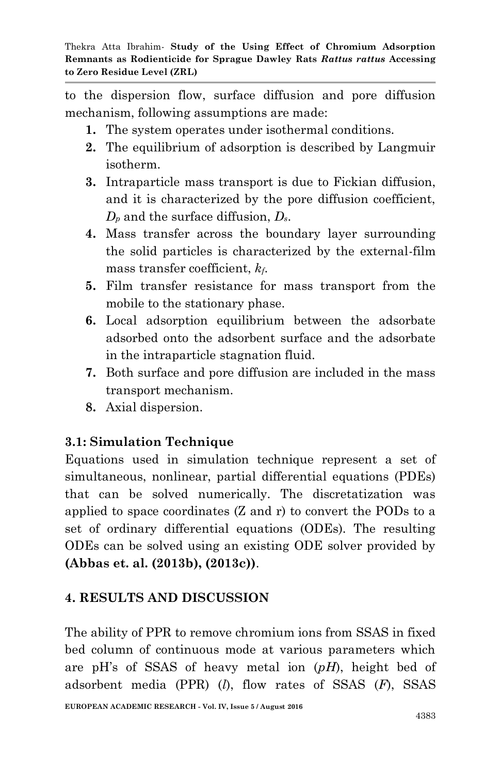to the dispersion flow, surface diffusion and pore diffusion mechanism, following assumptions are made:

- **1.** The system operates under isothermal conditions.
- **2.** The equilibrium of adsorption is described by Langmuir isotherm.
- **3.** Intraparticle mass transport is due to Fickian diffusion, and it is characterized by the pore diffusion coefficient, *D<sup>p</sup>* and the surface diffusion, *Ds*.
- **4.** Mass transfer across the boundary layer surrounding the solid particles is characterized by the external-film mass transfer coefficient, *kf*.
- **5.** Film transfer resistance for mass transport from the mobile to the stationary phase.
- **6.** Local adsorption equilibrium between the adsorbate adsorbed onto the adsorbent surface and the adsorbate in the intraparticle stagnation fluid.
- **7.** Both surface and pore diffusion are included in the mass transport mechanism.
- **8.** Axial dispersion.

## **3.1: Simulation Technique**

Equations used in simulation technique represent a set of simultaneous, nonlinear, partial differential equations (PDEs) that can be solved numerically. The discretatization was applied to space coordinates (Z and r) to convert the PODs to a set of ordinary differential equations (ODEs). The resulting ODEs can be solved using an existing ODE solver provided by **(Abbas et. al. (2013b), (2013c))**.

## **4. RESULTS AND DISCUSSION**

The ability of PPR to remove chromium ions from SSAS in fixed bed column of continuous mode at various parameters which are pH"s of SSAS of heavy metal ion (*pH*), height bed of adsorbent media (PPR) (*l*), flow rates of SSAS (*F*), SSAS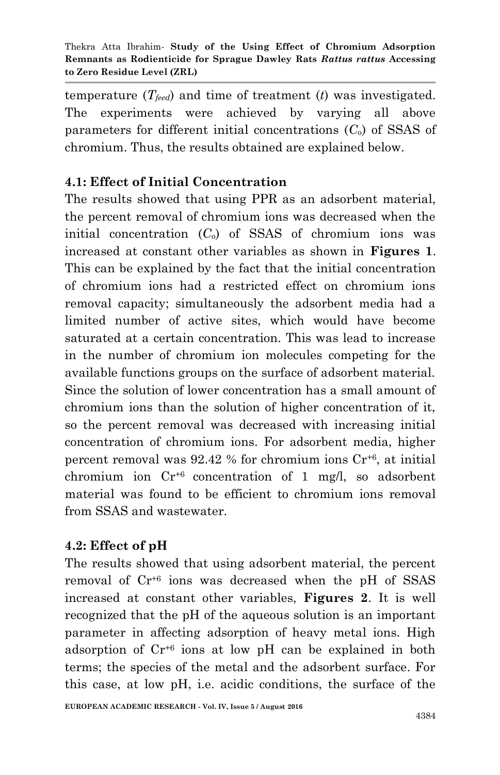temperature (*Tfeed*) and time of treatment (*t*) was investigated. The experiments were achieved by varying all above parameters for different initial concentrations (*C*o) of SSAS of chromium. Thus, the results obtained are explained below.

## **4.1: Effect of Initial Concentration**

The results showed that using PPR as an adsorbent material, the percent removal of chromium ions was decreased when the initial concentration (*C*o) of SSAS of chromium ions was increased at constant other variables as shown in **Figures 1**. This can be explained by the fact that the initial concentration of chromium ions had a restricted effect on chromium ions removal capacity; simultaneously the adsorbent media had a limited number of active sites, which would have become saturated at a certain concentration. This was lead to increase in the number of chromium ion molecules competing for the available functions groups on the surface of adsorbent material. Since the solution of lower concentration has a small amount of chromium ions than the solution of higher concentration of it, so the percent removal was decreased with increasing initial concentration of chromium ions. For adsorbent media, higher percent removal was  $92.42$  % for chromium ions  $Cr^{+6}$ , at initial chromium ion Cr+6 concentration of 1 mg/l, so adsorbent material was found to be efficient to chromium ions removal from SSAS and wastewater.

# **4.2: Effect of pH**

The results showed that using adsorbent material, the percent removal of Cr+6 ions was decreased when the pH of SSAS increased at constant other variables, **Figures 2**. It is well recognized that the pH of the aqueous solution is an important parameter in affecting adsorption of heavy metal ions. High adsorption of Cr+6 ions at low pH can be explained in both terms; the species of the metal and the adsorbent surface. For this case, at low pH, i.e. acidic conditions, the surface of the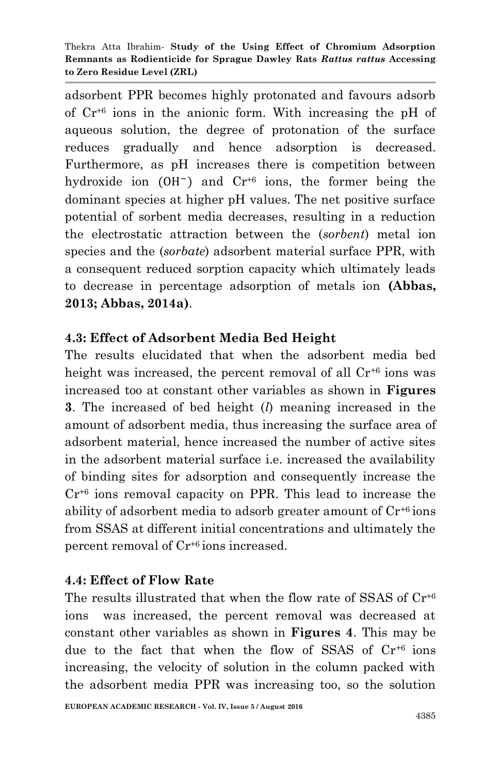adsorbent PPR becomes highly protonated and favours adsorb of Cr+6 ions in the anionic form. With increasing the pH of aqueous solution, the degree of protonation of the surface reduces gradually and hence adsorption is decreased. Furthermore, as pH increases there is competition between hydroxide ion  $(OH^-)$  and  $Cr^{+6}$  ions, the former being the dominant species at higher pH values. The net positive surface potential of sorbent media decreases, resulting in a reduction the electrostatic attraction between the (*sorbent*) metal ion species and the (*sorbate*) adsorbent material surface PPR, with a consequent reduced sorption capacity which ultimately leads to decrease in percentage adsorption of metals ion **(Abbas, 2013; Abbas, 2014a)**.

## **4.3: Effect of Adsorbent Media Bed Height**

The results elucidated that when the adsorbent media bed height was increased, the percent removal of all  $Cr^{46}$  ions was increased too at constant other variables as shown in **Figures 3**. The increased of bed height (*l*) meaning increased in the amount of adsorbent media, thus increasing the surface area of adsorbent material, hence increased the number of active sites in the adsorbent material surface i.e. increased the availability of binding sites for adsorption and consequently increase the Cr+6 ions removal capacity on PPR. This lead to increase the ability of adsorbent media to adsorb greater amount of  $Cr^{+6}$  ions from SSAS at different initial concentrations and ultimately the percent removal of Cr+6 ions increased.

## **4.4: Effect of Flow Rate**

The results illustrated that when the flow rate of SSAS of  $Cr^{+6}$ ions was increased, the percent removal was decreased at constant other variables as shown in **Figures 4**. This may be due to the fact that when the flow of SSAS of Cr+6 ions increasing, the velocity of solution in the column packed with the adsorbent media PPR was increasing too, so the solution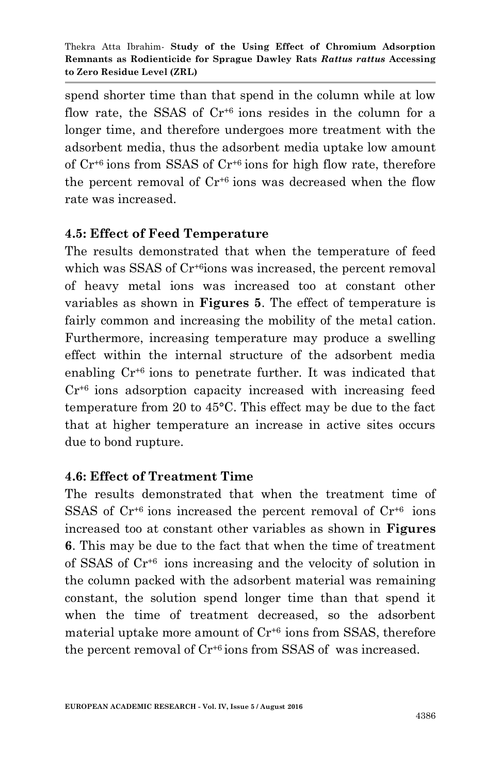spend shorter time than that spend in the column while at low flow rate, the SSAS of  $Cr^{+6}$  ions resides in the column for a longer time, and therefore undergoes more treatment with the adsorbent media, thus the adsorbent media uptake low amount of  $Cr^{+6}$  ions from SSAS of  $Cr^{+6}$  ions for high flow rate, therefore the percent removal of Cr+6 ions was decreased when the flow rate was increased.

#### **4.5: Effect of Feed Temperature**

The results demonstrated that when the temperature of feed which was SSAS of Cr<sup>+6</sup>ions was increased, the percent removal of heavy metal ions was increased too at constant other variables as shown in **Figures 5**. The effect of temperature is fairly common and increasing the mobility of the metal cation. Furthermore, increasing temperature may produce a swelling effect within the internal structure of the adsorbent media enabling Cr+6 ions to penetrate further. It was indicated that Cr+6 ions adsorption capacity increased with increasing feed temperature from 20 to 45°C. This effect may be due to the fact that at higher temperature an increase in active sites occurs due to bond rupture.

#### **4.6: Effect of Treatment Time**

The results demonstrated that when the treatment time of SSAS of  $Cr^{+6}$  ions increased the percent removal of  $Cr^{+6}$  ions increased too at constant other variables as shown in **Figures 6**. This may be due to the fact that when the time of treatment of SSAS of Cr+6 ions increasing and the velocity of solution in the column packed with the adsorbent material was remaining constant, the solution spend longer time than that spend it when the time of treatment decreased, so the adsorbent material uptake more amount of  $Cr^{46}$  ions from SSAS, therefore the percent removal of  $Cr^{+6}$  ions from SSAS of was increased.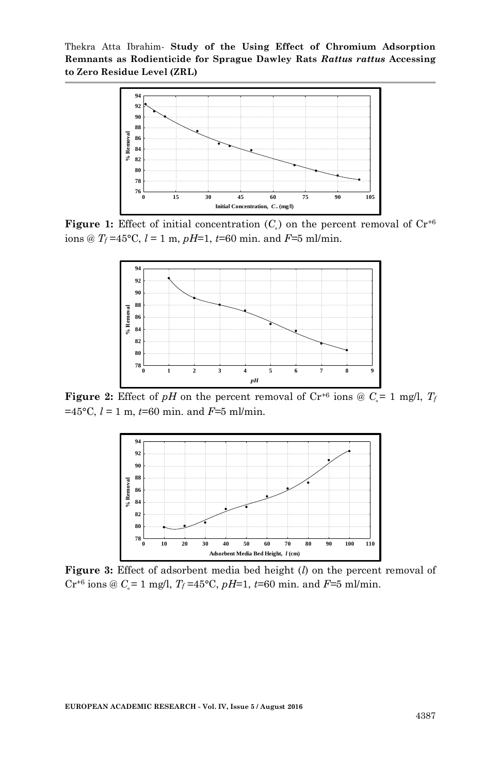

**Figure 1:** Effect of initial concentration  $(C_i)$  on the percent removal of  $Cr^{+6}$ ions @  $T_f = 45^{\circ}$ C,  $l = 1$  m,  $pH=1$ ,  $t=60$  min. and  $F=5$  ml/min.



**Figure 2:** Effect of *pH* on the percent removal of  $Cr^{+6}$  ions @  $C<sub>i</sub> = 1$  mg/l,  $T<sub>f</sub>$ =45°C, *l* = 1 m, *t*=60 min. and *F=*5 ml/min.



**Figure 3:** Effect of adsorbent media bed height (*l*) on the percent removal of  $Cr^{+6}$  ions @  $C_{\rm s} = 1$  mg/l,  $T_f = 45^{\circ}C$ ,  $pH=1$ ,  $t=60$  min. and  $F=5$  ml/min.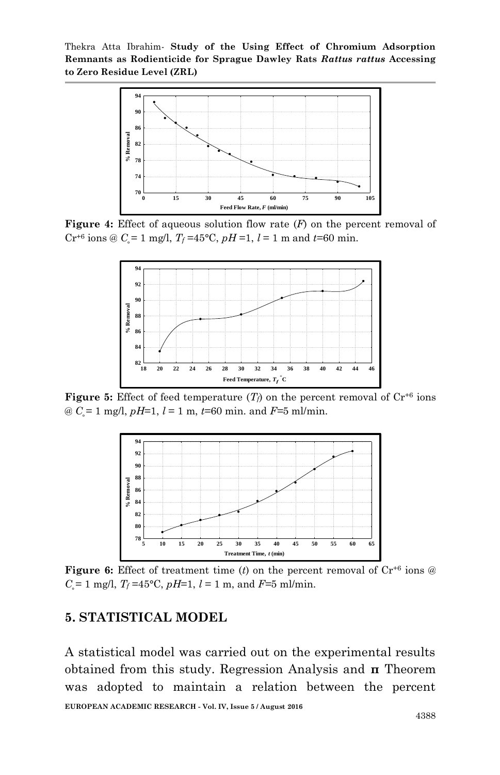Thekra Atta Ibrahim*-* **Study of the Using Effect of Chromium Adsorption Remnants as Rodienticide for Sprague Dawley Rats** *Rattus rattus* **Accessing to Zero Residue Level (ZRL)**



**Figure 4:** Effect of aqueous solution flow rate (*F*) on the percent removal of  $Cr^{+6}$  ions @  $C = 1$  mg/l,  $T_f = 45^{\circ}\text{C}$ ,  $pH = 1$ ,  $l = 1$  m and  $t = 60$  min.



**Figure 5:** Effect of feed temperature  $(T_f)$  on the percent removal of  $Cr^{+6}$  ions @ *C˳*= 1 mg/l, *pH*=1, *l* = 1 m, *t*=60 min. and *F=*5 ml/min.



**Figure 6:** Effect of treatment time (*t*) on the percent removal of  $Cr^{+6}$  ions  $@$  $C_{\rm s}$  = 1 mg/l,  $T_f$  =45°C,  $pH$ =1,  $l$  = 1 m, and  $F$ =5 ml/min.

#### **5. STATISTICAL MODEL**

**EUROPEAN ACADEMIC RESEARCH - Vol. IV, Issue 5 / August 2016** A statistical model was carried out on the experimental results obtained from this study. Regression Analysis and **π** Theorem was adopted to maintain a relation between the percent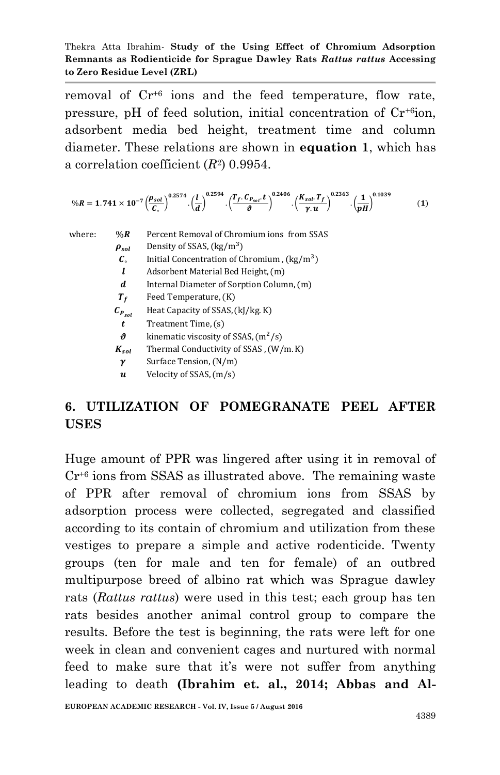removal of Cr+6 ions and the feed temperature, flow rate, pressure, pH of feed solution, initial concentration of Cr+6ion, adsorbent media bed height, treatment time and column diameter. These relations are shown in **equation 1**, which has a correlation coefficient (*R*<sup>2</sup> ) 0.9954.

$$
\%R = 1.741 \times 10^{-7} \left(\frac{\rho_{sol}}{C_{\circ}}\right)^{0.2574} \cdot \left(\frac{l}{d}\right)^{0.2594} \cdot \left(\frac{T_f \cdot C_{P_{sol}} \cdot t}{\vartheta}\right)^{0.2406} \cdot \left(\frac{K_{sol} \cdot T_f}{\gamma \cdot u}\right)^{0.2363} \cdot \left(\frac{1}{pH}\right)^{0.1039} \tag{1}
$$

where.  $\%$  R Percent Removal of Chromium jons from SSAS Density of SSAS, (kg/m<sup>3</sup>)  $\rho_{sol}$  $\pmb{C}_\circ$ Initial Concentration of Chromium,  $\frac{\text{kg}}{\text{m}^3}$  $\mathbf{L}$ Adsorbent Material Bed Height, (m)  $\boldsymbol{d}$ Internal Diameter of Sorption Column, (m)  $T_f$ Feed Temperature, (K) Heat Capacity of SSAS, (kJ/kg.K)  $c_{P_{sol}}$  $\mathbf{t}$ Treatment Time, (s)  $\boldsymbol{\vartheta}$ kinematic viscosity of SSAS,  $(m^2/s)$  $K_{sol}$ Thermal Conductivity of SSAS, (W/m.K) Surface Tension, (N/m)  $\boldsymbol{\gamma}$  $\boldsymbol{u}$ Velocity of SSAS, (m/s)

# **6. UTILIZATION OF POMEGRANATE PEEL AFTER USES**

Huge amount of PPR was lingered after using it in removal of  $Cr^{46}$  ions from SSAS as illustrated above. The remaining waste of PPR after removal of chromium ions from SSAS by adsorption process were collected, segregated and classified according to its contain of chromium and utilization from these vestiges to prepare a simple and active rodenticide. Twenty groups (ten for male and ten for female) of an outbred multipurpose breed of albino rat which was Sprague dawley rats (*Rattus rattus*) were used in this test; each group has ten rats besides another animal control group to compare the results. Before the test is beginning, the rats were left for one week in clean and convenient cages and nurtured with normal feed to make sure that it's were not suffer from anything leading to death **(Ibrahim et. al., 2014; Abbas and Al-**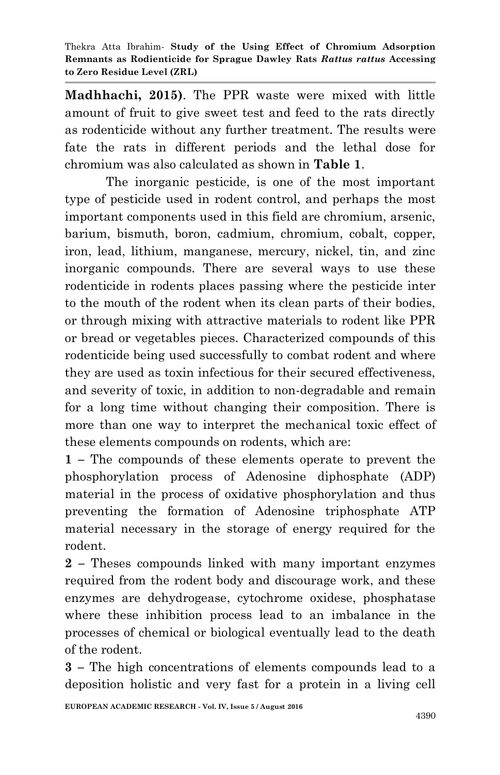**Madhhachi, 2015)**. The PPR waste were mixed with little amount of fruit to give sweet test and feed to the rats directly as rodenticide without any further treatment. The results were fate the rats in different periods and the lethal dose for chromium was also calculated as shown in **Table 1**.

The inorganic pesticide, is one of the most important type of pesticide used in rodent control, and perhaps the most important components used in this field are chromium, arsenic, barium, bismuth, boron, cadmium, chromium, cobalt, copper, iron, lead, lithium, manganese, mercury, nickel, tin, and zinc inorganic compounds. There are several ways to use these rodenticide in rodents places passing where the pesticide inter to the mouth of the rodent when its clean parts of their bodies, or through mixing with attractive materials to rodent like PPR or bread or vegetables pieces. Characterized compounds of this rodenticide being used successfully to combat rodent and where they are used as toxin infectious for their secured effectiveness, and severity of toxic, in addition to non-degradable and remain for a long time without changing their composition. There is more than one way to interpret the mechanical toxic effect of these elements compounds on rodents, which are:

**1 –** The compounds of these elements operate to prevent the phosphorylation process of Adenosine diphosphate (ADP) material in the process of oxidative phosphorylation and thus preventing the formation of Adenosine triphosphate ATP material necessary in the storage of energy required for the rodent.

**2 –** Theses compounds linked with many important enzymes required from the rodent body and discourage work, and these enzymes are dehydrogease, cytochrome oxidese, phosphatase where these inhibition process lead to an imbalance in the processes of chemical or biological eventually lead to the death of the rodent.

**3 –** The high concentrations of elements compounds lead to a deposition holistic and very fast for a protein in a living cell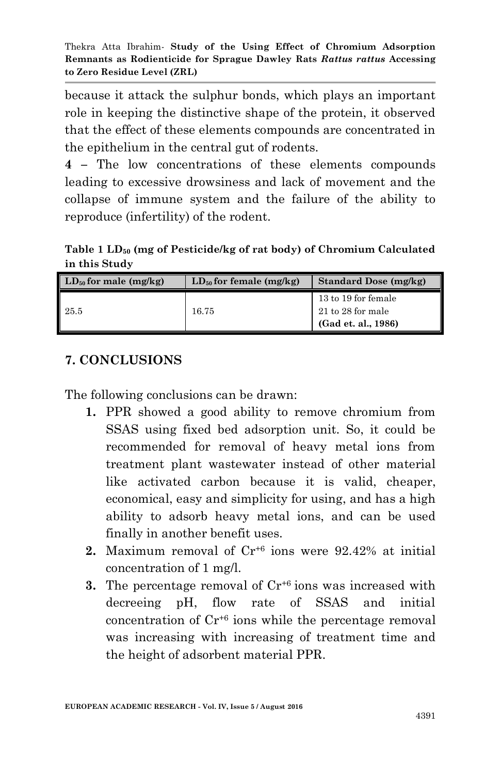because it attack the sulphur bonds, which plays an important role in keeping the distinctive shape of the protein, it observed that the effect of these elements compounds are concentrated in the epithelium in the central gut of rodents.

**4 –** The low concentrations of these elements compounds leading to excessive drowsiness and lack of movement and the collapse of immune system and the failure of the ability to reproduce (infertility) of the rodent.

**Table 1 LD<sup>50</sup> (mg of Pesticide/kg of rat body) of Chromium Calculated in this Study**

| $LD_{50}$ for male (mg/kg) | $LD_{50}$ for female (mg/kg) | Standard Dose (mg/kg)                                             |
|----------------------------|------------------------------|-------------------------------------------------------------------|
| $\blacksquare$ 25.5        | 16.75                        | 13 to 19 for female<br>$21$ to 28 for male<br>(Gad et. al., 1986) |

## **7. CONCLUSIONS**

The following conclusions can be drawn:

- **1.** PPR showed a good ability to remove chromium from SSAS using fixed bed adsorption unit. So, it could be recommended for removal of heavy metal ions from treatment plant wastewater instead of other material like activated carbon because it is valid, cheaper, economical, easy and simplicity for using, and has a high ability to adsorb heavy metal ions, and can be used finally in another benefit uses.
- **2.** Maximum removal of Cr+6 ions were 92.42% at initial concentration of 1 mg/l.
- **3.** The percentage removal of  $Cr^{+6}$  ions was increased with decreeing pH, flow rate of SSAS and initial concentration of  $Cr^{46}$  ions while the percentage removal was increasing with increasing of treatment time and the height of adsorbent material PPR.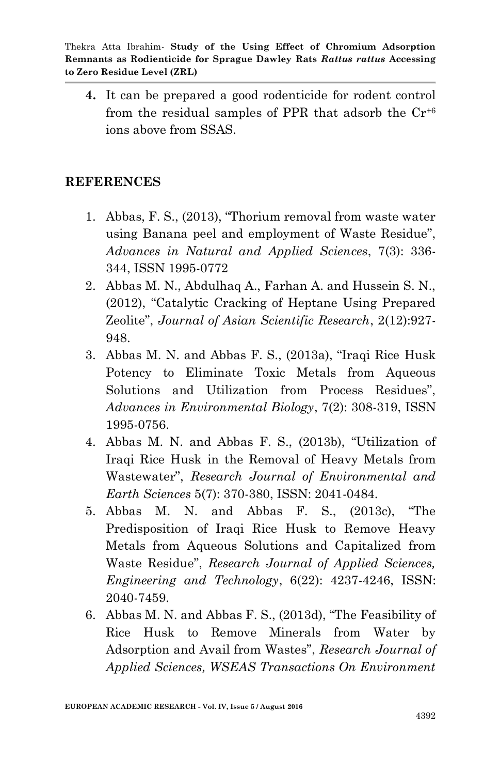**4.** It can be prepared a good rodenticide for rodent control from the residual samples of PPR that adsorb the  $Cr^{46}$ ions above from SSAS.

#### **REFERENCES**

- 1. Abbas, F. S., (2013), "Thorium removal from waste water using Banana peel and employment of Waste Residue", *Advances in Natural and Applied Sciences*, 7(3): 336- 344, ISSN 1995-0772
- 2. Abbas M. N., Abdulhaq A., Farhan A. and Hussein S. N., (2012), "Catalytic Cracking of Heptane Using Prepared Zeolite", *Journal of Asian Scientific Research*, 2(12):927- 948.
- 3. Abbas M. N. and Abbas F. S., (2013a), "Iraqi Rice Husk Potency to Eliminate Toxic Metals from Aqueous Solutions and Utilization from Process Residues", *Advances in Environmental Biology*, 7(2): 308-319, ISSN 1995-0756.
- 4. Abbas M. N. and Abbas F. S., (2013b), "Utilization of Iraqi Rice Husk in the Removal of Heavy Metals from Wastewater", *Research Journal of Environmental and Earth Sciences* 5(7): 370-380, ISSN: 2041-0484.
- 5. Abbas M. N. and Abbas F. S., (2013c), "The Predisposition of Iraqi Rice Husk to Remove Heavy Metals from Aqueous Solutions and Capitalized from Waste Residue", *Research Journal of Applied Sciences, Engineering and Technology*, 6(22): 4237-4246, ISSN: 2040-7459.
- 6. Abbas M. N. and Abbas F. S., (2013d), "The Feasibility of Rice Husk to Remove Minerals from Water by Adsorption and Avail from Wastes", *Research Journal of Applied Sciences, WSEAS Transactions On Environment*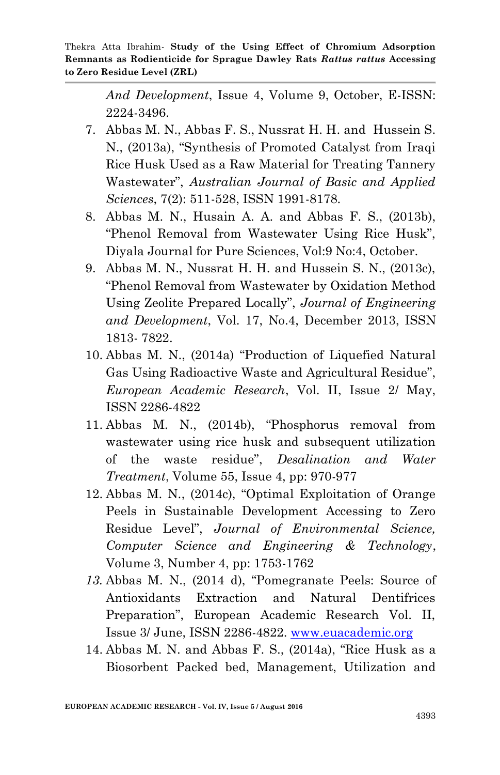*And Development*, Issue 4, Volume 9, October, E-ISSN: 2224-3496.

- 7. Abbas M. N., Abbas F. S., Nussrat H. H. and Hussein S. N., (2013a), "Synthesis of Promoted Catalyst from Iraqi Rice Husk Used as a Raw Material for Treating Tannery Wastewater", *Australian Journal of Basic and Applied Sciences*, 7(2): 511-528, ISSN 1991-8178.
- 8. Abbas M. N., Husain A. A. and Abbas F. S., (2013b), "Phenol Removal from Wastewater Using Rice Husk", Diyala Journal for Pure Sciences, Vol:9 No:4, October.
- 9. Abbas M. N., Nussrat H. H. and Hussein S. N., (2013c), "Phenol Removal from Wastewater by Oxidation Method Using Zeolite Prepared Locally", *Journal of Engineering and Development*, Vol. 17, No.4, December 2013, ISSN 1813- 7822.
- 10. Abbas M. N., (2014a) "Production of Liquefied Natural Gas Using Radioactive Waste and Agricultural Residue", *European Academic Research*, Vol. II, Issue 2/ May, ISSN 2286-4822
- 11. Abbas M. N., (2014b), "Phosphorus removal from wastewater using rice husk and subsequent utilization of the waste residue", *Desalination and Water Treatment*, Volume 55, Issue 4, pp: 970-977
- 12. Abbas M. N., (2014c), "Optimal Exploitation of Orange Peels in Sustainable Development Accessing to Zero Residue Level", *Journal of Environmental Science, Computer Science and Engineering & Technology*, Volume 3, Number 4, pp: 1753-1762
- *13.* Abbas M. N., (2014 d), "Pomegranate Peels: Source of Antioxidants Extraction and Natural Dentifrices Preparation", European Academic Research Vol. II, Issue 3/ June, ISSN 2286-4822. [www.euacademic.org](http://www.euacademic.org/)
- 14. Abbas M. N. and Abbas F. S., (2014a), "Rice Husk as a Biosorbent Packed bed, Management, Utilization and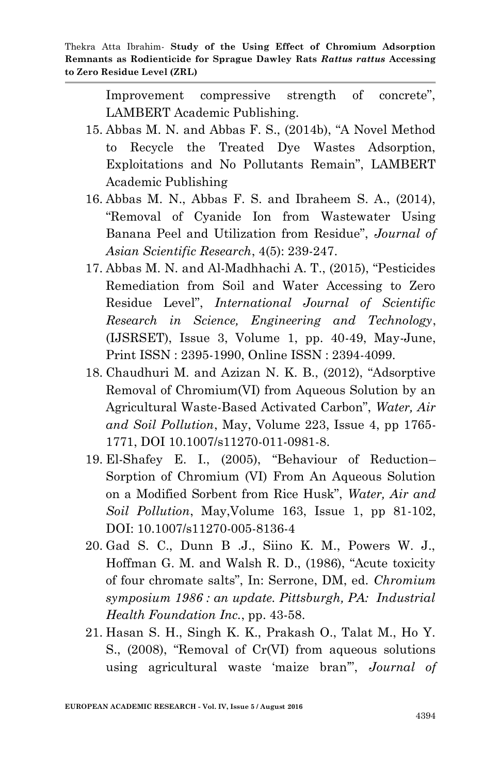Improvement compressive strength of concrete", LAMBERT Academic Publishing.

- 15. Abbas M. N. and Abbas F. S., (2014b), "A Novel Method to Recycle the Treated Dye Wastes Adsorption, Exploitations and No Pollutants Remain", LAMBERT Academic Publishing
- 16. Abbas M. N., Abbas F. S. and Ibraheem S. A., (2014), "Removal of Cyanide Ion from Wastewater Using Banana Peel and Utilization from Residue", *Journal of Asian Scientific Research*, 4(5): 239-247.
- 17. Abbas M. N. and Al-Madhhachi A. T., (2015), "Pesticides Remediation from Soil and Water Accessing to Zero Residue Level", *International Journal of Scientific Research in Science, Engineering and Technology*, (IJSRSET), Issue 3, Volume 1, pp. 40-49, May-June, Print ISSN : 2395-1990, Online ISSN : 2394-4099.
- 18. Chaudhuri M. and Azizan N. K. B., (2012), "Adsorptive Removal of Chromium(VI) from Aqueous Solution by an Agricultural Waste-Based Activated Carbon", *Water, Air and Soil Pollution*, May, Volume 223, Issue 4, pp 1765- 1771, DOI 10.1007/s11270-011-0981-8.
- 19. El-Shafey E. I., (2005), "Behaviour of Reduction– Sorption of Chromium (VI) From An Aqueous Solution on a Modified Sorbent from Rice Husk", *Water, Air and Soil Pollution*, May,Volume 163, Issue 1, pp 81-102, DOI: 10.1007/s11270-005-8136-4
- 20. Gad S. C., Dunn B .J., Siino K. M., Powers W. J., Hoffman G. M. and Walsh R. D., (1986), "Acute toxicity of four chromate salts", In: Serrone, DM, ed. *Chromium symposium 1986 : an update. Pittsburgh, PA: Industrial Health Foundation Inc.*, pp. 43-58.
- 21. Hasan S. H., Singh K. K., Prakash O., Talat M., Ho Y. S., (2008), "Removal of Cr(VI) from aqueous solutions using agricultural waste "maize bran"", *Journal of*